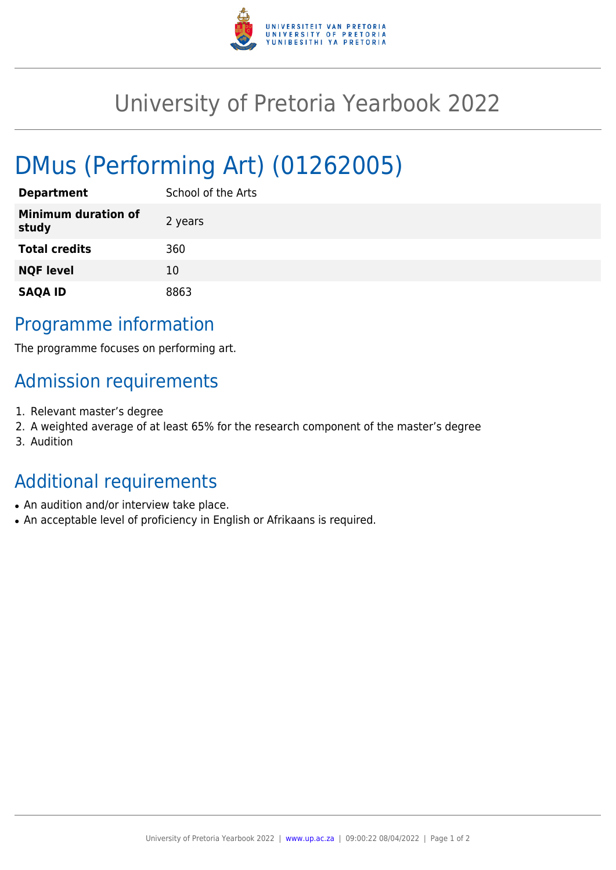

## University of Pretoria Yearbook 2022

# DMus (Performing Art) (01262005)

| <b>Department</b>                   | School of the Arts |
|-------------------------------------|--------------------|
| <b>Minimum duration of</b><br>study | 2 years            |
| <b>Total credits</b>                | 360                |
| <b>NQF level</b>                    | 10                 |
| <b>SAQA ID</b>                      | 8863               |

### Programme information

The programme focuses on performing art.

### Admission requirements

- 1. Relevant master's degree
- 2. A weighted average of at least 65% for the research component of the master's degree
- 3. Audition

## Additional requirements

- An audition and/or interview take place.
- An acceptable level of proficiency in English or Afrikaans is required.